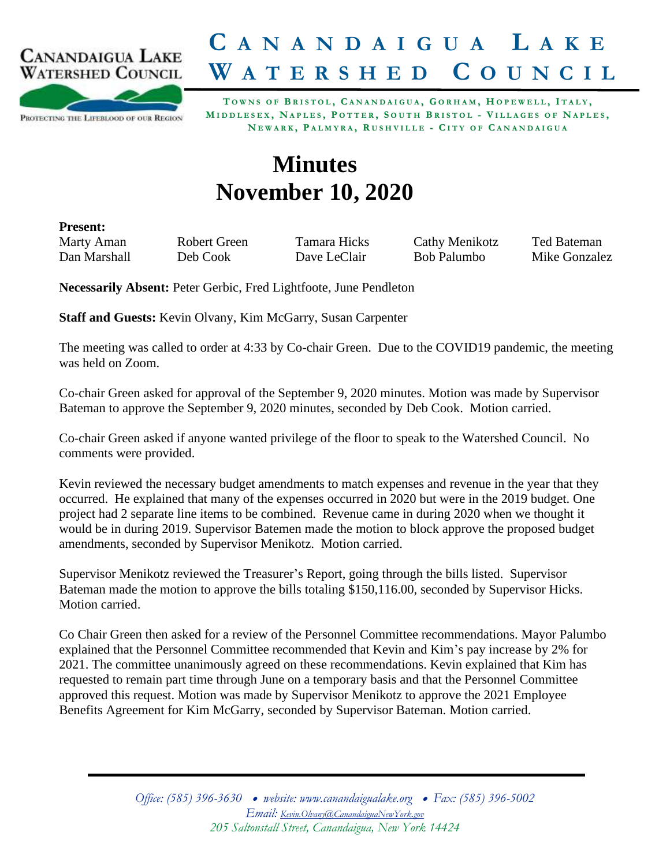

## **C A N A N D A I G U A L A K E W A T E R S H E D C O U N C I L**

PROTECTING THE LIFEBLOOD OF OUR REGION

TOWNS OF BRISTOL, CANANDAIGUA, GORHAM, HOPEWELL, ITALY, MIDDLESEX, NAPLES, POTTER, SOUTH BRISTOL - VILLAGES OF NAPLES, NEWARK, PALMYRA, RUSHVILLE - CITY OF CANANDAIGUA

## **Minutes November 10, 2020**

**Present:**

Marty Aman Robert Green Tamara Hicks Cathy Menikotz Ted Bateman Dan Marshall Deb Cook Dave LeClair Bob Palumbo Mike Gonzalez

**Necessarily Absent:** Peter Gerbic, Fred Lightfoote, June Pendleton

**Staff and Guests:** Kevin Olvany, Kim McGarry, Susan Carpenter

The meeting was called to order at 4:33 by Co-chair Green. Due to the COVID19 pandemic, the meeting was held on Zoom.

Co-chair Green asked for approval of the September 9, 2020 minutes. Motion was made by Supervisor Bateman to approve the September 9, 2020 minutes, seconded by Deb Cook. Motion carried.

Co-chair Green asked if anyone wanted privilege of the floor to speak to the Watershed Council. No comments were provided.

Kevin reviewed the necessary budget amendments to match expenses and revenue in the year that they occurred. He explained that many of the expenses occurred in 2020 but were in the 2019 budget. One project had 2 separate line items to be combined. Revenue came in during 2020 when we thought it would be in during 2019. Supervisor Batemen made the motion to block approve the proposed budget amendments, seconded by Supervisor Menikotz. Motion carried.

Supervisor Menikotz reviewed the Treasurer's Report, going through the bills listed. Supervisor Bateman made the motion to approve the bills totaling \$150,116.00, seconded by Supervisor Hicks. Motion carried.

Co Chair Green then asked for a review of the Personnel Committee recommendations. Mayor Palumbo explained that the Personnel Committee recommended that Kevin and Kim's pay increase by 2% for 2021. The committee unanimously agreed on these recommendations. Kevin explained that Kim has requested to remain part time through June on a temporary basis and that the Personnel Committee approved this request. Motion was made by Supervisor Menikotz to approve the 2021 Employee Benefits Agreement for Kim McGarry, seconded by Supervisor Bateman. Motion carried.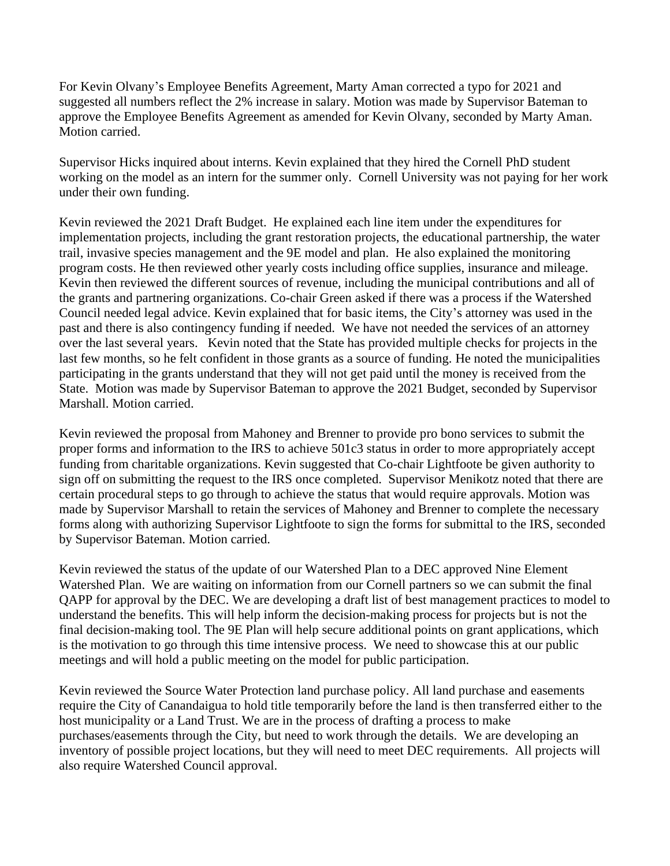For Kevin Olvany's Employee Benefits Agreement, Marty Aman corrected a typo for 2021 and suggested all numbers reflect the 2% increase in salary. Motion was made by Supervisor Bateman to approve the Employee Benefits Agreement as amended for Kevin Olvany, seconded by Marty Aman. Motion carried.

Supervisor Hicks inquired about interns. Kevin explained that they hired the Cornell PhD student working on the model as an intern for the summer only. Cornell University was not paying for her work under their own funding.

Kevin reviewed the 2021 Draft Budget. He explained each line item under the expenditures for implementation projects, including the grant restoration projects, the educational partnership, the water trail, invasive species management and the 9E model and plan. He also explained the monitoring program costs. He then reviewed other yearly costs including office supplies, insurance and mileage. Kevin then reviewed the different sources of revenue, including the municipal contributions and all of the grants and partnering organizations. Co-chair Green asked if there was a process if the Watershed Council needed legal advice. Kevin explained that for basic items, the City's attorney was used in the past and there is also contingency funding if needed. We have not needed the services of an attorney over the last several years. Kevin noted that the State has provided multiple checks for projects in the last few months, so he felt confident in those grants as a source of funding. He noted the municipalities participating in the grants understand that they will not get paid until the money is received from the State. Motion was made by Supervisor Bateman to approve the 2021 Budget, seconded by Supervisor Marshall. Motion carried.

Kevin reviewed the proposal from Mahoney and Brenner to provide pro bono services to submit the proper forms and information to the IRS to achieve 501c3 status in order to more appropriately accept funding from charitable organizations. Kevin suggested that Co-chair Lightfoote be given authority to sign off on submitting the request to the IRS once completed. Supervisor Menikotz noted that there are certain procedural steps to go through to achieve the status that would require approvals. Motion was made by Supervisor Marshall to retain the services of Mahoney and Brenner to complete the necessary forms along with authorizing Supervisor Lightfoote to sign the forms for submittal to the IRS, seconded by Supervisor Bateman. Motion carried.

Kevin reviewed the status of the update of our Watershed Plan to a DEC approved Nine Element Watershed Plan. We are waiting on information from our Cornell partners so we can submit the final QAPP for approval by the DEC. We are developing a draft list of best management practices to model to understand the benefits. This will help inform the decision-making process for projects but is not the final decision-making tool. The 9E Plan will help secure additional points on grant applications, which is the motivation to go through this time intensive process. We need to showcase this at our public meetings and will hold a public meeting on the model for public participation.

Kevin reviewed the Source Water Protection land purchase policy. All land purchase and easements require the City of Canandaigua to hold title temporarily before the land is then transferred either to the host municipality or a Land Trust. We are in the process of drafting a process to make purchases/easements through the City, but need to work through the details. We are developing an inventory of possible project locations, but they will need to meet DEC requirements. All projects will also require Watershed Council approval.